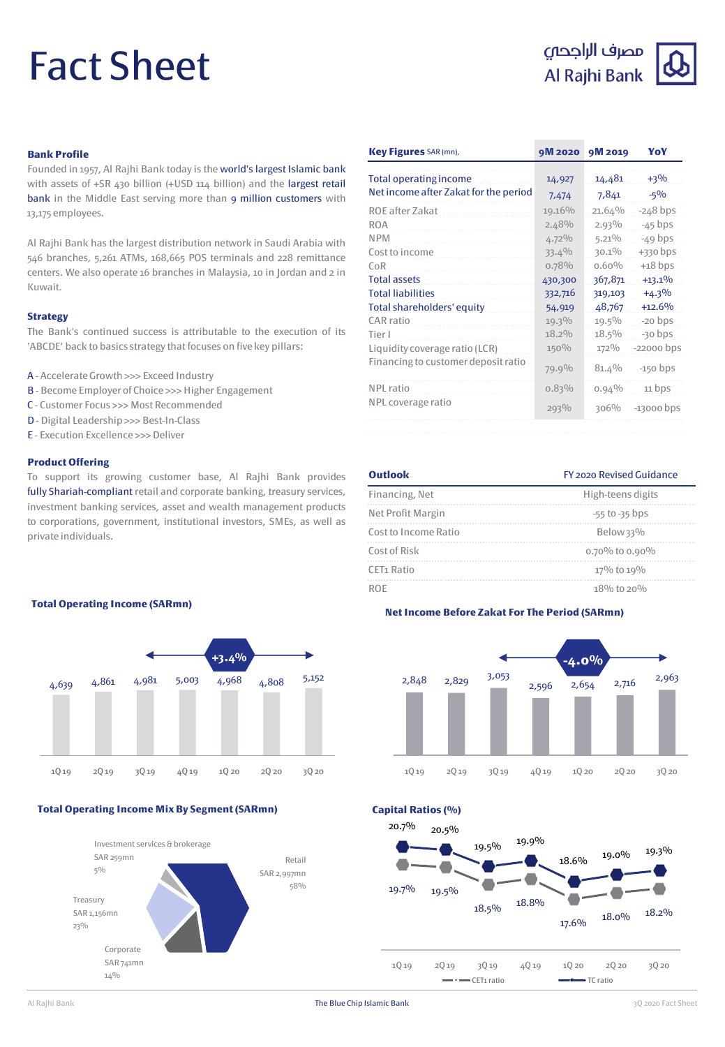# Fact Sheet

# مصرف الراجحى Al Rajhi Bank



# **Bank Profile**

Founded in 1957, Al Rajhi Bank today is the world's largest Islamic bank with assets of +SR 430 billion (+USD 114 billion) and the largest retail bank in the Middle East serving more than 9 million customers with 13,175 employees.

Al Rajhi Bank has the largest distribution network in Saudi Arabia with 546 branches, 5,261 ATMs, 168,665 POS terminals and 228 remittance centers. We also operate 16 branches in Malaysia, 10 in Jordan and 2 in Kuwait.

### **Strategy**

The Bank's continued success is attributable to the execution of its 'ABCDE' back to basics strategy that focuses on five key pillars:

- A Accelerate Growth >>> Exceed Industry
- B Become Employer of Choice >>> Higher Engagement
- C Customer Focus >>> Most Recommended
- D Digital Leadership >>> Best-In-Class
- E Execution Excellence >>>Deliver

### **Product Offering**

To support its growing customer base, Al Rajhi Bank provides fully Shariah-compliant retail and corporate banking, treasury services, investment banking services, asset and wealth management products to corporations, government, institutional investors, SMEs, as well as private individuals.

| Key Figures SAR (mn),                 | 9M 2020  | 9M 2019  | YoY          |
|---------------------------------------|----------|----------|--------------|
| Total operating income                | 14,927   | 14,481   | $+3\%$       |
| Net income after Zakat for the period | 7,474    | 7,841    | $-5\%$       |
| ROE after Zakat                       | 19.16%   | 21.64%   | $-248$ bps   |
| <b>ROA</b>                            | 2.48%    | $2.93\%$ | $-45$ bps    |
| <b>NPM</b>                            | $4.72\%$ | $5.21\%$ | $-49$ bps    |
| Cost to income                        | $33.4\%$ | $30.1\%$ | $+330$ bps   |
| CoR                                   | 0.78%    | $0.60\%$ | $+18$ bps    |
| <b>Total assets</b>                   | 430,300  | 367,871  | $+13.1%$     |
| <b>Total liabilities</b>              | 332,716  | 319,103  | $+4.3%$      |
| Total shareholders' equity            | 54,919   | 48,767   | $+12.6%$     |
| CAR ratio                             | 19.3%    | $19.5\%$ | $-20$ bps    |
| Tier I                                | $18.2\%$ | $18.5\%$ | $-30$ bps    |
| Liquidity coverage ratio (LCR)        | 150%     | 172%     | $-22000$ bps |
| Financing to customer deposit ratio   | 79.9%    | 81.4%    | $-150$ bps   |
| NPL ratio                             | 0.83%    | 0.94%    | 11 bps       |
| NPL coverage ratio                    | 293%     | 306%     | $-13000$ bps |

# **Outlook** FY 2020 Revised Guidance Financing, Net High-teens digits Net Profit Margin  $-55$  to -35 bps Cost to Income Ratio Below 33% Cost of Risk 0.70% to 0.90% CET1 Ratio  $17\%$  to  $19\%$ ROE  $18\%$  to  $20\%$

# **Net Income Before Zakat For The Period (SARmn)**



**Total Operating Income (SARmn)**



# **Total Operating Income Mix By Segment (SARmn)**